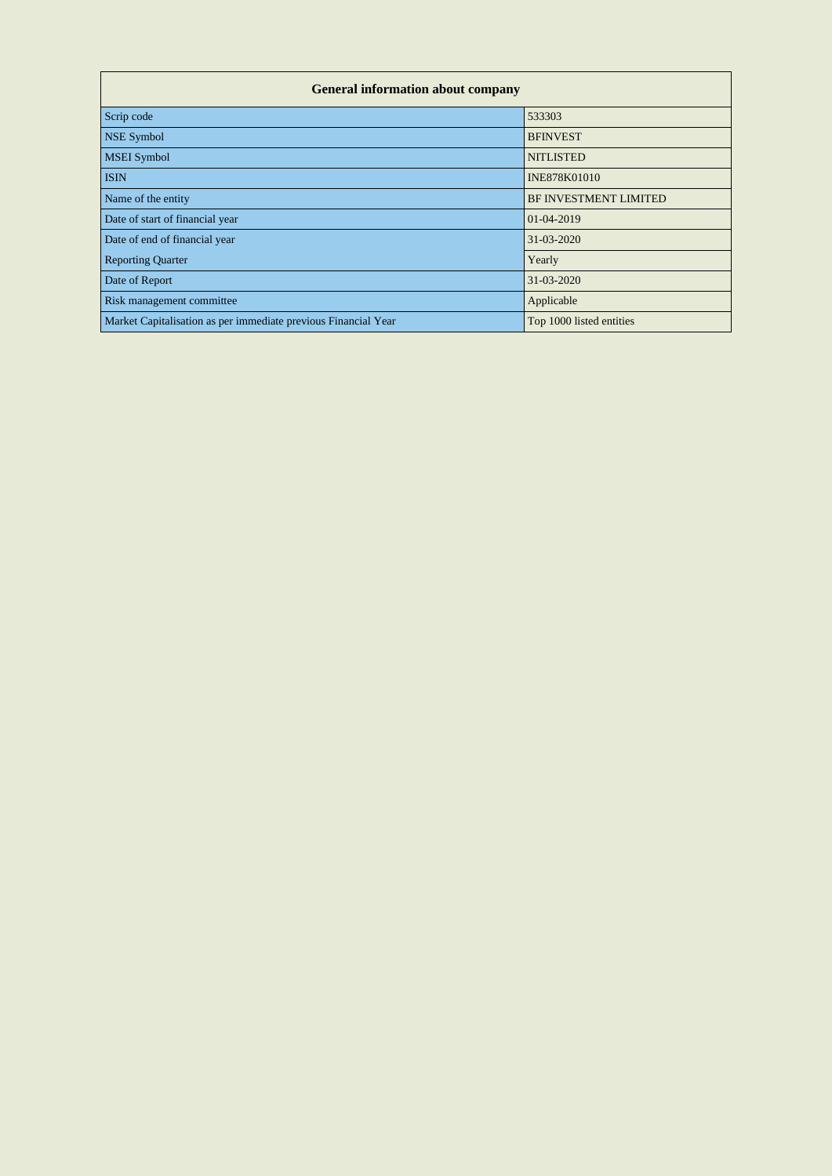| <b>General information about company</b>                       |                          |  |  |  |  |  |  |  |
|----------------------------------------------------------------|--------------------------|--|--|--|--|--|--|--|
| Scrip code                                                     | 533303                   |  |  |  |  |  |  |  |
| <b>NSE Symbol</b>                                              | <b>BFINVEST</b>          |  |  |  |  |  |  |  |
| <b>MSEI</b> Symbol                                             | <b>NITLISTED</b>         |  |  |  |  |  |  |  |
| <b>ISIN</b>                                                    | <b>INE878K01010</b>      |  |  |  |  |  |  |  |
| Name of the entity                                             | BF INVESTMENT LIMITED    |  |  |  |  |  |  |  |
| Date of start of financial year                                | 01-04-2019               |  |  |  |  |  |  |  |
| Date of end of financial year                                  | 31-03-2020               |  |  |  |  |  |  |  |
| <b>Reporting Quarter</b>                                       | Yearly                   |  |  |  |  |  |  |  |
| Date of Report                                                 | 31-03-2020               |  |  |  |  |  |  |  |
| Risk management committee                                      | Applicable               |  |  |  |  |  |  |  |
| Market Capitalisation as per immediate previous Financial Year | Top 1000 listed entities |  |  |  |  |  |  |  |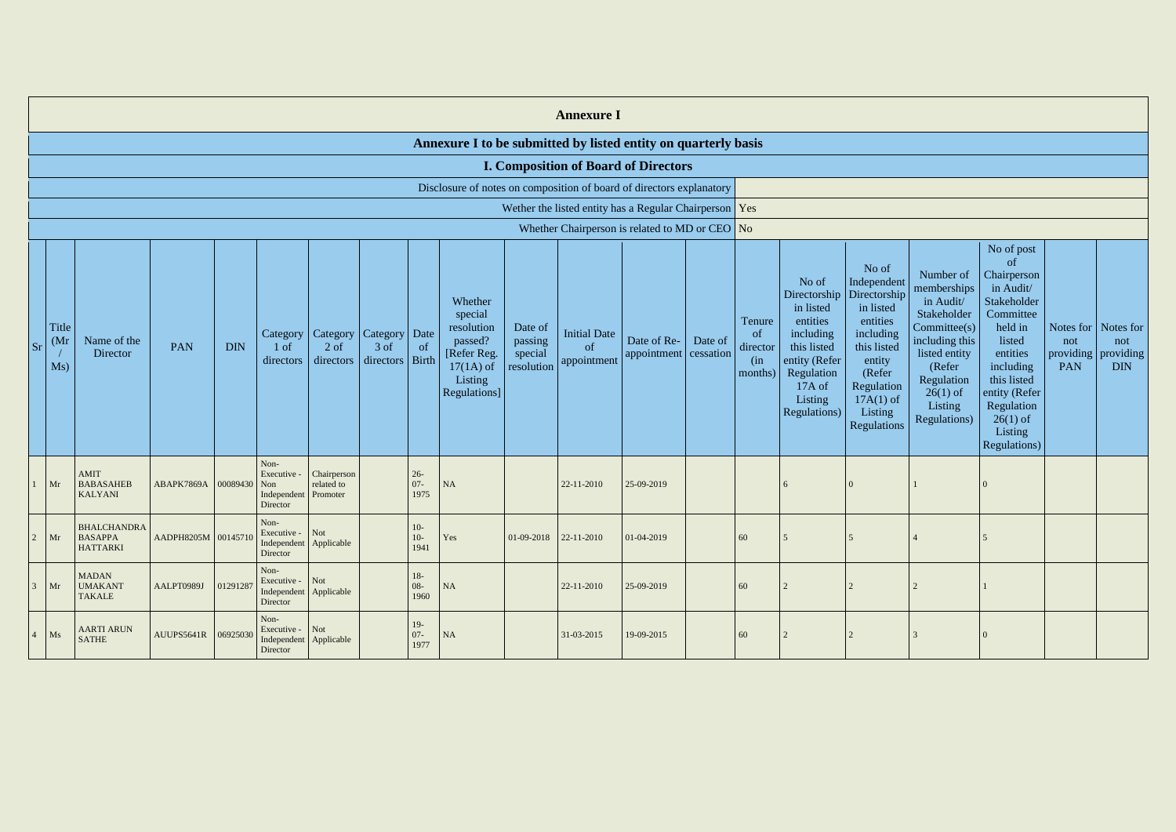|                                                        | <b>Annexure I</b>    |                                                         |                                      |              |                                                                       |                                            |                   |                          |                                                                                                               |                                             |                                          |                                                |         |                                             |                                                                                                                                |                                                                                                                                                                                     |                                                                                                                                                                          |                                                                                                                                                                                                               |                                                          |                   |
|--------------------------------------------------------|----------------------|---------------------------------------------------------|--------------------------------------|--------------|-----------------------------------------------------------------------|--------------------------------------------|-------------------|--------------------------|---------------------------------------------------------------------------------------------------------------|---------------------------------------------|------------------------------------------|------------------------------------------------|---------|---------------------------------------------|--------------------------------------------------------------------------------------------------------------------------------|-------------------------------------------------------------------------------------------------------------------------------------------------------------------------------------|--------------------------------------------------------------------------------------------------------------------------------------------------------------------------|---------------------------------------------------------------------------------------------------------------------------------------------------------------------------------------------------------------|----------------------------------------------------------|-------------------|
|                                                        |                      |                                                         |                                      |              |                                                                       |                                            |                   |                          | Annexure I to be submitted by listed entity on quarterly basis                                                |                                             |                                          |                                                |         |                                             |                                                                                                                                |                                                                                                                                                                                     |                                                                                                                                                                          |                                                                                                                                                                                                               |                                                          |                   |
|                                                        |                      |                                                         |                                      |              |                                                                       |                                            |                   |                          |                                                                                                               |                                             |                                          | <b>I. Composition of Board of Directors</b>    |         |                                             |                                                                                                                                |                                                                                                                                                                                     |                                                                                                                                                                          |                                                                                                                                                                                                               |                                                          |                   |
|                                                        |                      |                                                         |                                      |              |                                                                       |                                            |                   |                          | Disclosure of notes on composition of board of directors explanatory                                          |                                             |                                          |                                                |         |                                             |                                                                                                                                |                                                                                                                                                                                     |                                                                                                                                                                          |                                                                                                                                                                                                               |                                                          |                   |
| Wether the listed entity has a Regular Chairperson Yes |                      |                                                         |                                      |              |                                                                       |                                            |                   |                          |                                                                                                               |                                             |                                          |                                                |         |                                             |                                                                                                                                |                                                                                                                                                                                     |                                                                                                                                                                          |                                                                                                                                                                                                               |                                                          |                   |
|                                                        |                      |                                                         |                                      |              |                                                                       |                                            |                   |                          |                                                                                                               |                                             |                                          | Whether Chairperson is related to MD or CEO No |         |                                             |                                                                                                                                |                                                                                                                                                                                     |                                                                                                                                                                          |                                                                                                                                                                                                               |                                                          |                   |
| <b>Sr</b>                                              | Title<br>(Mr)<br>Ms) | Name of the<br>Director                                 | <b>PAN</b>                           | <b>DIN</b>   | Category<br>$1$ of<br>directors                                       | Category   Category<br>$2$ of<br>directors | 3 of<br>directors | Date<br>of<br>Birth      | Whether<br>special<br>resolution<br>passed?<br>[Refer Reg.]<br>$17(1A)$ of<br>Listing<br><b>Regulations</b> ] | Date of<br>passing<br>special<br>resolution | <b>Initial Date</b><br>of<br>appointment | Date of Re-<br>appointment cessation           | Date of | Tenure<br>of<br>director<br>(in)<br>months) | No of<br>in listed<br>entities<br>including<br>this listed<br>entity (Refer<br>Regulation<br>17A of<br>Listing<br>Regulations) | No of<br>Independent<br>Directorship   Directorship<br>in listed<br>entities<br>including<br>this listed<br>entity<br>(Refer<br>Regulation<br>$17A(1)$ of<br>Listing<br>Regulations | Number of<br>memberships<br>in Audit/<br>Stakeholder<br>Committee(s)<br>including this<br>listed entity<br>(Refer<br>Regulation<br>$26(1)$ of<br>Listing<br>Regulations) | No of post<br>of<br>Chairperson<br>in Audit/<br>Stakeholder<br>Committee<br>held in<br>listed<br>entities<br>including<br>this listed<br>entity (Refer<br>Regulation<br>$26(1)$ of<br>Listing<br>Regulations) | Notes for Notes for<br>not<br>providing providing<br>PAN | not<br><b>DIN</b> |
|                                                        | Mr                   | <b>AMIT</b><br><b>BABASAHEB</b><br><b>KALYANI</b>       | ABAPK7869A                           | 00089430 Non | Non-<br>Executive -<br>Independent<br>Director                        | Chairperson<br>related to<br>Promoter      |                   | $26 -$<br>$07 -$<br>1975 | <b>NA</b>                                                                                                     |                                             | 22-11-2010                               | 25-09-2019                                     |         |                                             | 6                                                                                                                              |                                                                                                                                                                                     |                                                                                                                                                                          |                                                                                                                                                                                                               |                                                          |                   |
|                                                        |                      | <b>BHALCHANDRA</b><br>$2$ Mr BASAPPA<br><b>HATTARKI</b> | AADPH8205M 00145710   Executive 1100 |              | Non-<br>Director                                                      |                                            |                   | $10-$<br>$10-$<br>1941   | Yes                                                                                                           |                                             | $01-09-2018$ 22-11-2010                  | $01-04-2019$                                   |         | 60                                          |                                                                                                                                |                                                                                                                                                                                     |                                                                                                                                                                          |                                                                                                                                                                                                               |                                                          |                   |
| 3 <sup>7</sup>                                         | Mr                   | <b>MADAN</b><br><b>UMAKANT</b><br>TAKALE                | AALPT0989J                           | 01291287     | Non-<br>Executive - Not<br>Independent Applicable<br>Director         |                                            |                   | $18-$<br>$08 -$<br>1960  | <b>NA</b>                                                                                                     |                                             | 22-11-2010                               | 25-09-2019                                     |         | 60                                          |                                                                                                                                |                                                                                                                                                                                     |                                                                                                                                                                          |                                                                                                                                                                                                               |                                                          |                   |
| $\overline{4}$                                         | Ms                   | <b>AARTI ARUN</b><br><b>SATHE</b>                       | AUUPS5641R 06925030                  |              | Non-<br>Executive - $\vert$ Not<br>Independent Applicable<br>Director |                                            |                   | $19-$<br>$07 -$<br>1977  | <b>NA</b>                                                                                                     |                                             | 31-03-2015                               | 19-09-2015                                     |         | 60                                          |                                                                                                                                |                                                                                                                                                                                     |                                                                                                                                                                          | $\overline{0}$                                                                                                                                                                                                |                                                          |                   |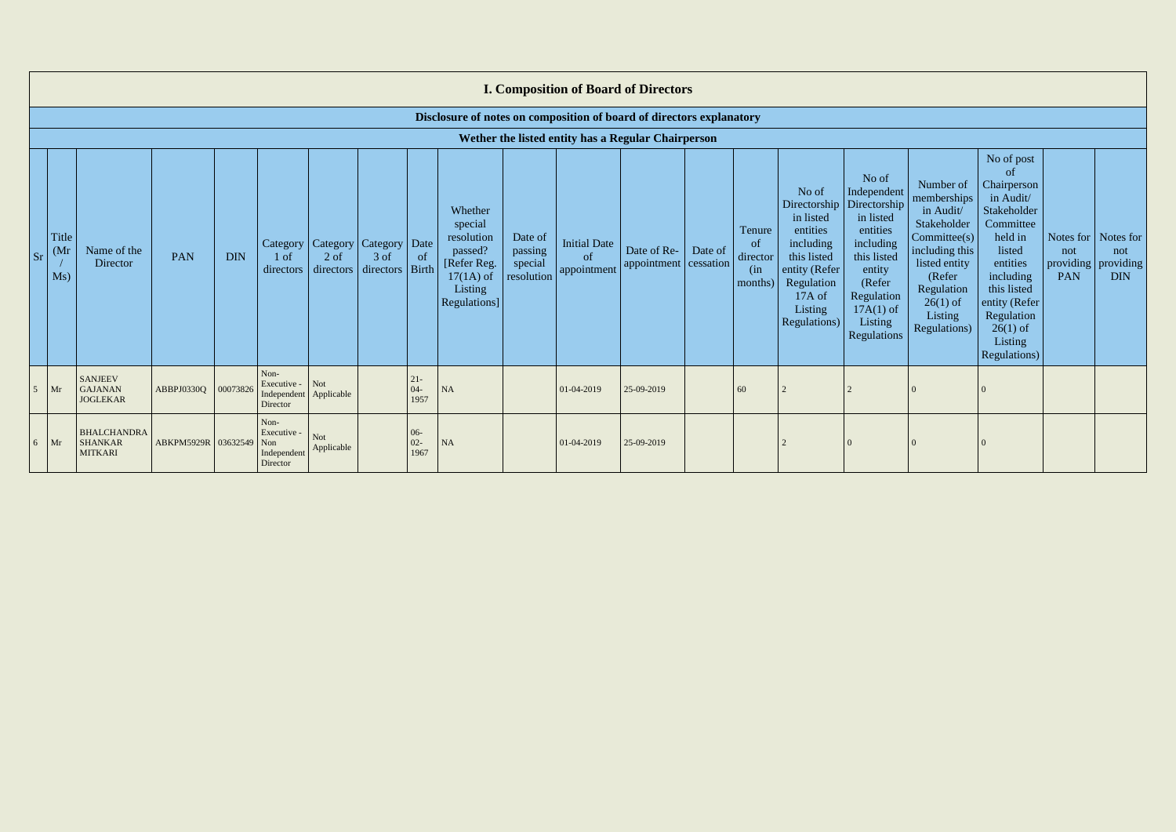|       | <b>I. Composition of Board of Directors</b>        |                                                                      |                     |            |                                                       |                          |                                                   |                          |                                                                                                      |                                             |                                   |                                              |         |                                            |                                                                                                                                                |                                                                                                                                                                      |                                                                                                                                                                         |                                                                                                                                                                                                               |            |                                                                         |
|-------|----------------------------------------------------|----------------------------------------------------------------------|---------------------|------------|-------------------------------------------------------|--------------------------|---------------------------------------------------|--------------------------|------------------------------------------------------------------------------------------------------|---------------------------------------------|-----------------------------------|----------------------------------------------|---------|--------------------------------------------|------------------------------------------------------------------------------------------------------------------------------------------------|----------------------------------------------------------------------------------------------------------------------------------------------------------------------|-------------------------------------------------------------------------------------------------------------------------------------------------------------------------|---------------------------------------------------------------------------------------------------------------------------------------------------------------------------------------------------------------|------------|-------------------------------------------------------------------------|
|       |                                                    | Disclosure of notes on composition of board of directors explanatory |                     |            |                                                       |                          |                                                   |                          |                                                                                                      |                                             |                                   |                                              |         |                                            |                                                                                                                                                |                                                                                                                                                                      |                                                                                                                                                                         |                                                                                                                                                                                                               |            |                                                                         |
|       | Wether the listed entity has a Regular Chairperson |                                                                      |                     |            |                                                       |                          |                                                   |                          |                                                                                                      |                                             |                                   |                                              |         |                                            |                                                                                                                                                |                                                                                                                                                                      |                                                                                                                                                                         |                                                                                                                                                                                                               |            |                                                                         |
| $S_r$ | Title<br>(Mr)<br>Ms)                               | Name of the<br>Director                                              | PAN                 | <b>DIN</b> | Category  <br>1 of<br>directors                       | $2$ of<br>directors      | Category   Category   Date<br>$3$ of<br>directors | of<br>Birth              | Whether<br>special<br>resolution<br>passed?<br>[Refer Reg.<br>$17(1A)$ of<br>Listing<br>Regulations] | Date of<br>passing<br>special<br>resolution | Initial Date<br>of<br>appointment | Date of Re- $\vert$<br>appointment cessation | Date of | Tenure<br>of<br>director<br>(in<br>months) | No of<br>Directorship<br>in listed<br>entities<br>including<br>this listed<br>entity (Refer<br>Regulation<br>17A of<br>Listing<br>Regulations) | No of<br>Independent<br>Directorship<br>in listed<br>entities<br>including<br>this listed<br>entity<br>(Refer<br>Regulation<br>$17A(1)$ of<br>Listing<br>Regulations | Number of<br>memberships<br>in Audit/<br>Stakeholder<br>Commitee(s)<br>including this<br>listed entity<br>(Refer<br>Regulation<br>$26(1)$ of<br>Listing<br>Regulations) | No of post<br>of<br>Chairperson<br>in Audit/<br>Stakeholder<br>Committee<br>held in<br>listed<br>entities<br>including<br>this listed<br>entity (Refer<br>Regulation<br>$26(1)$ of<br>Listing<br>Regulations) | not<br>PAN | Notes for $\vert$ Notes for<br>not<br>providing providing<br><b>DIN</b> |
|       | $5 \mid Mr$                                        | <b>SANJEEV</b><br><b>GAJANAN</b><br><b>JOGLEKAR</b>                  | ABBPJ0330Q          | 00073826   | Non-<br>Executive -<br>Independent<br>Director        | Not<br>Applicable        |                                                   | $21 -$<br>$04 -$<br>1957 | <b>NA</b>                                                                                            |                                             | 01-04-2019                        | 25-09-2019                                   |         | 60                                         |                                                                                                                                                |                                                                                                                                                                      |                                                                                                                                                                         |                                                                                                                                                                                                               |            |                                                                         |
|       | $6 \mid Mr$                                        | <b>BHALCHANDRA</b><br><b>SHANKAR</b><br><b>MITKARI</b>               | ABKPM5929R 03632549 |            | Non-<br>Executive -<br>Non<br>Independent<br>Director | <b>Not</b><br>Applicable |                                                   | $06 -$<br>$02 -$<br>1967 | <b>NA</b>                                                                                            |                                             | 01-04-2019                        | 25-09-2019                                   |         |                                            |                                                                                                                                                |                                                                                                                                                                      |                                                                                                                                                                         |                                                                                                                                                                                                               |            |                                                                         |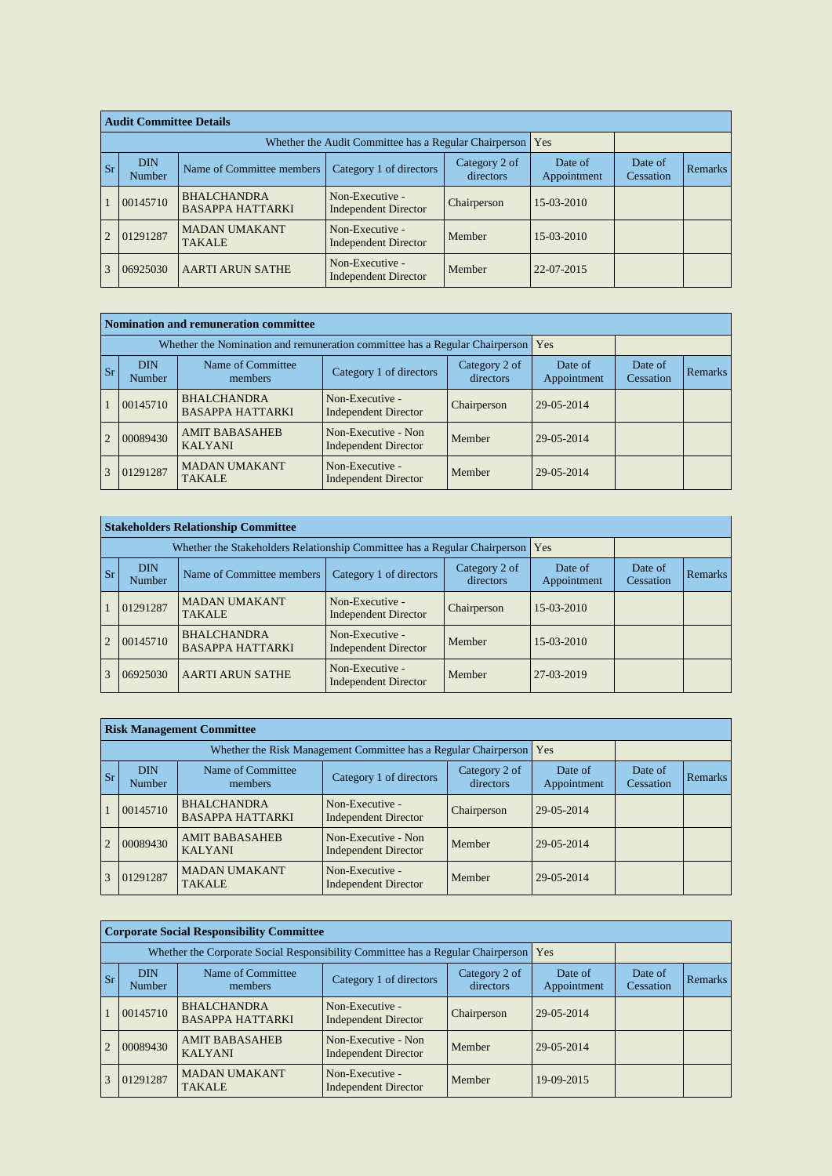|                         | <b>Audit Committee Details</b>                                                                                                              |                                                       |                                                |             |            |  |         |  |  |
|-------------------------|---------------------------------------------------------------------------------------------------------------------------------------------|-------------------------------------------------------|------------------------------------------------|-------------|------------|--|---------|--|--|
|                         |                                                                                                                                             | Whether the Audit Committee has a Regular Chairperson | Yes                                            |             |            |  |         |  |  |
| $\mathsf{S} \mathbf{r}$ | <b>DIN</b><br>Category 2 of<br>Date of<br>Category 1 of directors<br>Name of Committee members<br>directors<br>Appointment<br><b>Number</b> |                                                       |                                                |             |            |  | Remarks |  |  |
|                         | 00145710                                                                                                                                    | <b>BHALCHANDRA</b><br><b>BASAPPA HATTARKI</b>         | Non-Executive -<br><b>Independent Director</b> | Chairperson | 15-03-2010 |  |         |  |  |
|                         | 01291287                                                                                                                                    | <b>MADAN UMAKANT</b><br><b>TAKALE</b>                 | Non-Executive -<br><b>Independent Director</b> | Member      | 15-03-2010 |  |         |  |  |
|                         | 06925030                                                                                                                                    | <b>AARTI ARUN SATHE</b>                               | Non-Executive -<br><b>Independent Director</b> | Member      | 22-07-2015 |  |         |  |  |

|                | <b>Nomination and remuneration committee</b> |                                                                                   |                                                    |                            |                        |                      |         |  |  |
|----------------|----------------------------------------------|-----------------------------------------------------------------------------------|----------------------------------------------------|----------------------------|------------------------|----------------------|---------|--|--|
|                |                                              | Whether the Nomination and remuneration committee has a Regular Chairperson   Yes |                                                    |                            |                        |                      |         |  |  |
| <b>Sr</b>      | <b>DIN</b><br><b>Number</b>                  | Name of Committee<br>members                                                      | Category 1 of directors                            | Category 2 of<br>directors | Date of<br>Appointment | Date of<br>Cessation | Remarks |  |  |
|                | 00145710                                     | <b>BHALCHANDRA</b><br><b>BASAPPA HATTARKI</b>                                     | Non-Executive -<br><b>Independent Director</b>     | Chairperson                | 29-05-2014             |                      |         |  |  |
| $\overline{2}$ | 00089430                                     | <b>AMIT BABASAHEB</b><br><b>KALYANI</b>                                           | Non-Executive - Non<br><b>Independent Director</b> | Member                     | 29-05-2014             |                      |         |  |  |
| 3              | 01291287                                     | <b>MADAN UMAKANT</b><br><b>TAKALE</b>                                             | Non-Executive -<br><b>Independent Director</b>     | Member                     | 29-05-2014             |                      |         |  |  |

|                | <b>Stakeholders Relationship Committee</b> |                                                                               |                                                |                            |                        |                      |                |  |  |  |
|----------------|--------------------------------------------|-------------------------------------------------------------------------------|------------------------------------------------|----------------------------|------------------------|----------------------|----------------|--|--|--|
|                |                                            | Whether the Stakeholders Relationship Committee has a Regular Chairperson Yes |                                                |                            |                        |                      |                |  |  |  |
| <b>Sr</b>      | <b>DIN</b><br><b>Number</b>                | Name of Committee members                                                     | Category 1 of directors                        | Category 2 of<br>directors | Date of<br>Appointment | Date of<br>Cessation | <b>Remarks</b> |  |  |  |
|                | 01291287                                   | <b>MADAN UMAKANT</b><br><b>TAKALE</b>                                         | Non-Executive -<br><b>Independent Director</b> | Chairperson                | 15-03-2010             |                      |                |  |  |  |
| $\overline{2}$ | 00145710                                   | <b>BHALCHANDRA</b><br><b>BASAPPA HATTARKI</b>                                 | Non-Executive -<br><b>Independent Director</b> | Member                     | 15-03-2010             |                      |                |  |  |  |
| 3              | 06925030                                   | <b>AARTI ARUN SATHE</b>                                                       | Non-Executive -<br><b>Independent Director</b> | Member                     | $27-03-2019$           |                      |                |  |  |  |

|                | <b>Risk Management Committee</b> |                                                                       |                                                    |                            |                        |                      |                |  |  |
|----------------|----------------------------------|-----------------------------------------------------------------------|----------------------------------------------------|----------------------------|------------------------|----------------------|----------------|--|--|
|                |                                  | Whether the Risk Management Committee has a Regular Chairperson   Yes |                                                    |                            |                        |                      |                |  |  |
| <b>Sr</b>      | <b>DIN</b><br>Number             | Name of Committee<br>members                                          | Category 1 of directors                            | Category 2 of<br>directors | Date of<br>Appointment | Date of<br>Cessation | <b>Remarks</b> |  |  |
|                | 00145710                         | <b>BHALCHANDRA</b><br><b>BASAPPA HATTARKI</b>                         | Non-Executive -<br><b>Independent Director</b>     | Chairperson                | 29-05-2014             |                      |                |  |  |
| $\overline{2}$ | 00089430                         | <b>AMIT BABASAHEB</b><br><b>KALYANI</b>                               | Non-Executive - Non<br><b>Independent Director</b> | Member                     | 29-05-2014             |                      |                |  |  |
| 3              | 01291287                         | <b>MADAN UMAKANT</b><br><b>TAKALE</b>                                 | Non-Executive -<br><b>Independent Director</b>     | Member                     | 29-05-2014             |                      |                |  |  |

|         | <b>Corporate Social Responsibility Committee</b> |                                                                                       |                                                    |                        |                      |                |  |  |  |  |
|---------|--------------------------------------------------|---------------------------------------------------------------------------------------|----------------------------------------------------|------------------------|----------------------|----------------|--|--|--|--|
|         |                                                  | Whether the Corporate Social Responsibility Committee has a Regular Chairperson   Yes |                                                    |                        |                      |                |  |  |  |  |
| $ S_r $ | <b>DIN</b><br>Number                             | Name of Committee<br>members                                                          | Category 2 of<br>directors                         | Date of<br>Appointment | Date of<br>Cessation | <b>Remarks</b> |  |  |  |  |
|         | 00145710                                         | <b>BHALCHANDRA</b><br><b>BASAPPA HATTARKI</b>                                         | Non-Executive -<br><b>Independent Director</b>     | Chairperson            | 29-05-2014           |                |  |  |  |  |
| 2       | 00089430                                         | <b>AMIT BABASAHEB</b><br><b>KALYANI</b>                                               | Non-Executive - Non<br><b>Independent Director</b> | Member                 | 29-05-2014           |                |  |  |  |  |
| 3       | 01291287                                         | <b>MADAN UMAKANT</b><br><b>TAKALE</b>                                                 | Non-Executive -<br><b>Independent Director</b>     | Member                 | 19-09-2015           |                |  |  |  |  |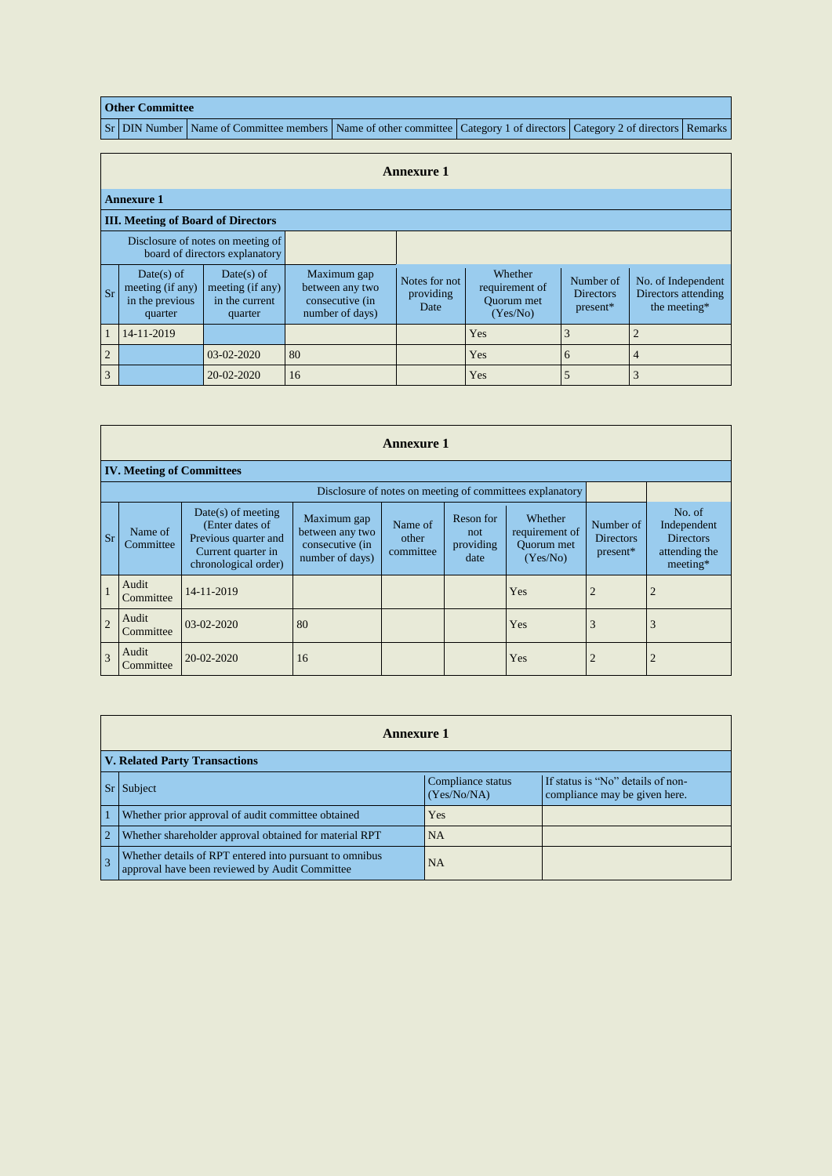## **Other Committee**

Sr DIN Number Name of Committee members Name of other committee Category 1 of directors Category 2 of directors Remarks

|                | <b>Annexure 1</b>                                                   |                                                             |                                                                      |                                    |                                                     |                                           |                                                           |  |  |  |  |  |
|----------------|---------------------------------------------------------------------|-------------------------------------------------------------|----------------------------------------------------------------------|------------------------------------|-----------------------------------------------------|-------------------------------------------|-----------------------------------------------------------|--|--|--|--|--|
|                | <b>Annexure 1</b>                                                   |                                                             |                                                                      |                                    |                                                     |                                           |                                                           |  |  |  |  |  |
|                | <b>III. Meeting of Board of Directors</b>                           |                                                             |                                                                      |                                    |                                                     |                                           |                                                           |  |  |  |  |  |
|                | Disclosure of notes on meeting of<br>board of directors explanatory |                                                             |                                                                      |                                    |                                                     |                                           |                                                           |  |  |  |  |  |
| <b>Sr</b>      | Date(s) of<br>meeting (if any)<br>in the previous<br>quarter        | Date(s) of<br>meeting (if any)<br>in the current<br>quarter | Maximum gap<br>between any two<br>consecutive (in<br>number of days) | Notes for not<br>providing<br>Date | Whether<br>requirement of<br>Quorum met<br>(Yes/No) | Number of<br><b>Directors</b><br>present* | No. of Independent<br>Directors attending<br>the meeting* |  |  |  |  |  |
| $\mathbf{1}$   | 14-11-2019                                                          |                                                             |                                                                      |                                    | Yes                                                 | 3                                         | $\overline{2}$                                            |  |  |  |  |  |
| $\overline{2}$ |                                                                     | 03-02-2020                                                  | 80                                                                   |                                    | Yes                                                 | 6                                         | $\overline{4}$                                            |  |  |  |  |  |
| $\overline{3}$ |                                                                     | 20-02-2020                                                  | 16                                                                   |                                    | Yes                                                 | 5                                         | 3                                                         |  |  |  |  |  |

|                | <b>Annexure 1</b>                                                                                                                                                                                                                                                                                                                              |            |    |  |                                           |                                                                          |                |                |  |  |  |
|----------------|------------------------------------------------------------------------------------------------------------------------------------------------------------------------------------------------------------------------------------------------------------------------------------------------------------------------------------------------|------------|----|--|-------------------------------------------|--------------------------------------------------------------------------|----------------|----------------|--|--|--|
|                | <b>IV. Meeting of Committees</b>                                                                                                                                                                                                                                                                                                               |            |    |  |                                           |                                                                          |                |                |  |  |  |
|                |                                                                                                                                                                                                                                                                                                                                                |            |    |  |                                           |                                                                          |                |                |  |  |  |
| <b>Sr</b>      | $Date(s)$ of meeting<br>Reson for<br>Whether<br>Maximum gap<br>(Enter dates of<br>Name of<br>Name of<br>between any two<br>requirement of<br>not<br>Previous quarter and<br>other<br>Committee<br>Quorum met<br>consecutive (in<br>providing<br>Current quarter in<br>committee<br>number of days)<br>(Yes/No)<br>date<br>chronological order) |            |    |  | Number of<br><b>Directors</b><br>present* | No. of<br>Independent<br><b>Directors</b><br>attending the<br>$meeting*$ |                |                |  |  |  |
| $\overline{1}$ | Audit<br>Committee                                                                                                                                                                                                                                                                                                                             | 14-11-2019 |    |  |                                           | Yes                                                                      | $\overline{2}$ | $\overline{c}$ |  |  |  |
| $\overline{2}$ | Audit<br>Committee                                                                                                                                                                                                                                                                                                                             | 03-02-2020 | 80 |  |                                           | Yes                                                                      | 3              | 3              |  |  |  |
| $\overline{3}$ | Audit<br>Committee                                                                                                                                                                                                                                                                                                                             | 20-02-2020 | 16 |  |                                           | Yes                                                                      | $\overline{2}$ | 2              |  |  |  |

|                | <b>Annexure 1</b>                                                                                         |                                  |                                                                    |  |  |  |  |  |  |  |
|----------------|-----------------------------------------------------------------------------------------------------------|----------------------------------|--------------------------------------------------------------------|--|--|--|--|--|--|--|
|                | <b>V. Related Party Transactions</b>                                                                      |                                  |                                                                    |  |  |  |  |  |  |  |
|                | Subject                                                                                                   | Compliance status<br>(Yes/No/NA) | If status is "No" details of non-<br>compliance may be given here. |  |  |  |  |  |  |  |
|                | Whether prior approval of audit committee obtained                                                        | Yes                              |                                                                    |  |  |  |  |  |  |  |
| $\overline{2}$ | Whether shareholder approval obtained for material RPT                                                    | <b>NA</b>                        |                                                                    |  |  |  |  |  |  |  |
|                | Whether details of RPT entered into pursuant to omnibus<br>approval have been reviewed by Audit Committee | <b>NA</b>                        |                                                                    |  |  |  |  |  |  |  |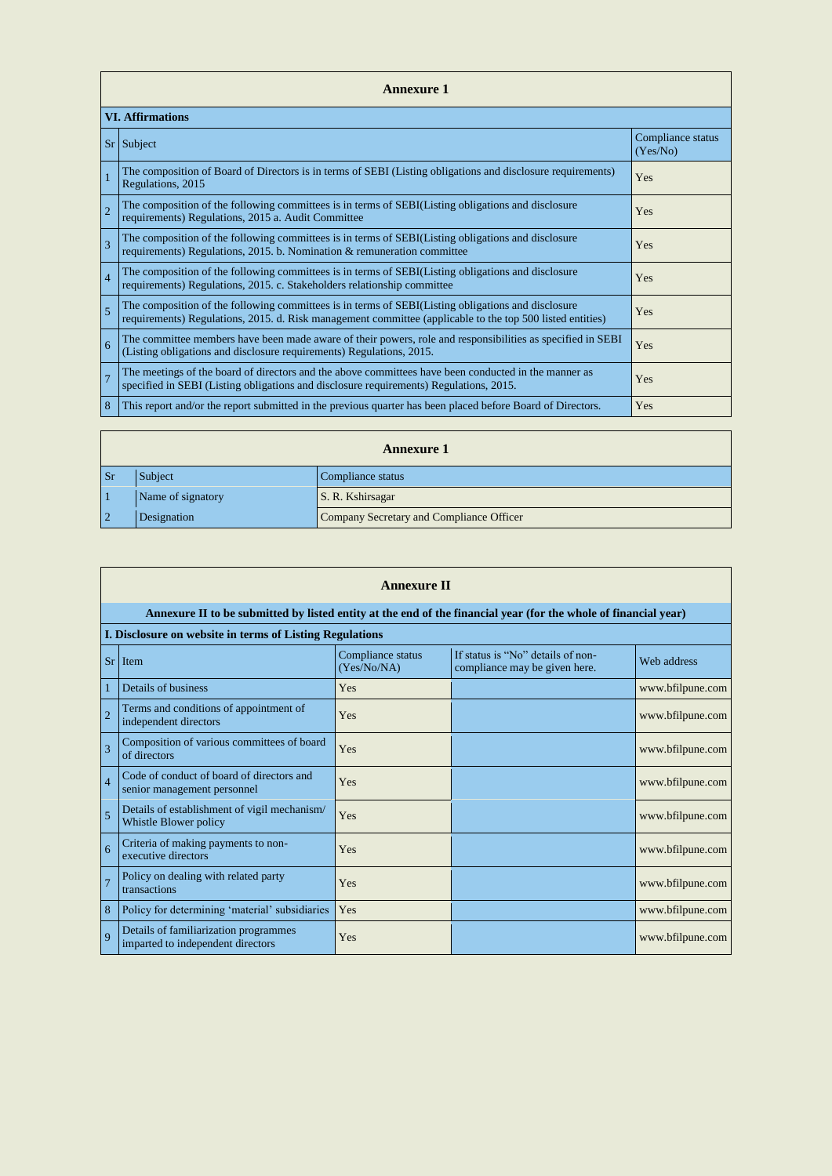|                | <b>Annexure 1</b>                                                                                                                                                                                               |                               |  |  |  |  |  |  |  |
|----------------|-----------------------------------------------------------------------------------------------------------------------------------------------------------------------------------------------------------------|-------------------------------|--|--|--|--|--|--|--|
|                | <b>VI. Affirmations</b>                                                                                                                                                                                         |                               |  |  |  |  |  |  |  |
|                | $Sr$ Subject                                                                                                                                                                                                    | Compliance status<br>(Yes/No) |  |  |  |  |  |  |  |
| $\mathbf{1}$   | The composition of Board of Directors is in terms of SEBI (Listing obligations and disclosure requirements)<br>Regulations, 2015                                                                                | Yes                           |  |  |  |  |  |  |  |
| $\overline{2}$ | The composition of the following committees is in terms of SEBI(Listing obligations and disclosure<br>requirements) Regulations, 2015 a. Audit Committee                                                        | Yes                           |  |  |  |  |  |  |  |
| $\overline{3}$ | The composition of the following committees is in terms of SEBI(Listing obligations and disclosure<br>requirements) Regulations, 2015. b. Nomination & remuneration committee                                   | Yes                           |  |  |  |  |  |  |  |
| $\overline{4}$ | The composition of the following committees is in terms of SEBI(Listing obligations and disclosure<br>requirements) Regulations, 2015. c. Stakeholders relationship committee                                   | Yes                           |  |  |  |  |  |  |  |
| $\overline{5}$ | The composition of the following committees is in terms of SEBI(Listing obligations and disclosure<br>requirements) Regulations, 2015. d. Risk management committee (applicable to the top 500 listed entities) | Yes                           |  |  |  |  |  |  |  |
| 6              | The committee members have been made aware of their powers, role and responsibilities as specified in SEBI<br>(Listing obligations and disclosure requirements) Regulations, 2015.                              | Yes                           |  |  |  |  |  |  |  |
| $\overline{7}$ | The meetings of the board of directors and the above committees have been conducted in the manner as<br>specified in SEBI (Listing obligations and disclosure requirements) Regulations, 2015.                  | Yes                           |  |  |  |  |  |  |  |
| 8              | This report and/or the report submitted in the previous quarter has been placed before Board of Directors.                                                                                                      | Yes                           |  |  |  |  |  |  |  |

|                | <b>Annexure 1</b> |                                          |  |  |
|----------------|-------------------|------------------------------------------|--|--|
| <b>Sr</b>      | Subject           | Compliance status                        |  |  |
|                | Name of signatory | S. R. Kshirsagar                         |  |  |
| $\overline{2}$ | Designation       | Company Secretary and Compliance Officer |  |  |

|                | <b>Annexure II</b>                                                                                              |                                  |                                                                    |                  |
|----------------|-----------------------------------------------------------------------------------------------------------------|----------------------------------|--------------------------------------------------------------------|------------------|
|                | Annexure II to be submitted by listed entity at the end of the financial year (for the whole of financial year) |                                  |                                                                    |                  |
|                | I. Disclosure on website in terms of Listing Regulations                                                        |                                  |                                                                    |                  |
| <b>Sr</b>      | Item                                                                                                            | Compliance status<br>(Yes/No/NA) | If status is "No" details of non-<br>compliance may be given here. | Web address      |
| 1              | Details of business                                                                                             | Yes                              |                                                                    | www.bfilpune.com |
| $\overline{2}$ | Terms and conditions of appointment of<br>independent directors                                                 | Yes                              |                                                                    | www.bfilpune.com |
| $\overline{3}$ | Composition of various committees of board<br>of directors                                                      | Yes                              |                                                                    | www.bfilpune.com |
| $\overline{4}$ | Code of conduct of board of directors and<br>senior management personnel                                        | Yes                              |                                                                    | www.bfilpune.com |
| 5              | Details of establishment of vigil mechanism/<br>Whistle Blower policy                                           | Yes                              |                                                                    | www.bfilpune.com |
| 6              | Criteria of making payments to non-<br>executive directors                                                      | Yes                              |                                                                    | www.bfilpune.com |
| $\overline{7}$ | Policy on dealing with related party<br>transactions                                                            | Yes                              |                                                                    | www.bfilpune.com |
| 8              | Policy for determining 'material' subsidiaries                                                                  | Yes                              |                                                                    | www.bfilpune.com |
| $\mathbf Q$    | Details of familiarization programmes<br>imparted to independent directors                                      | Yes                              |                                                                    | www.bfilpune.com |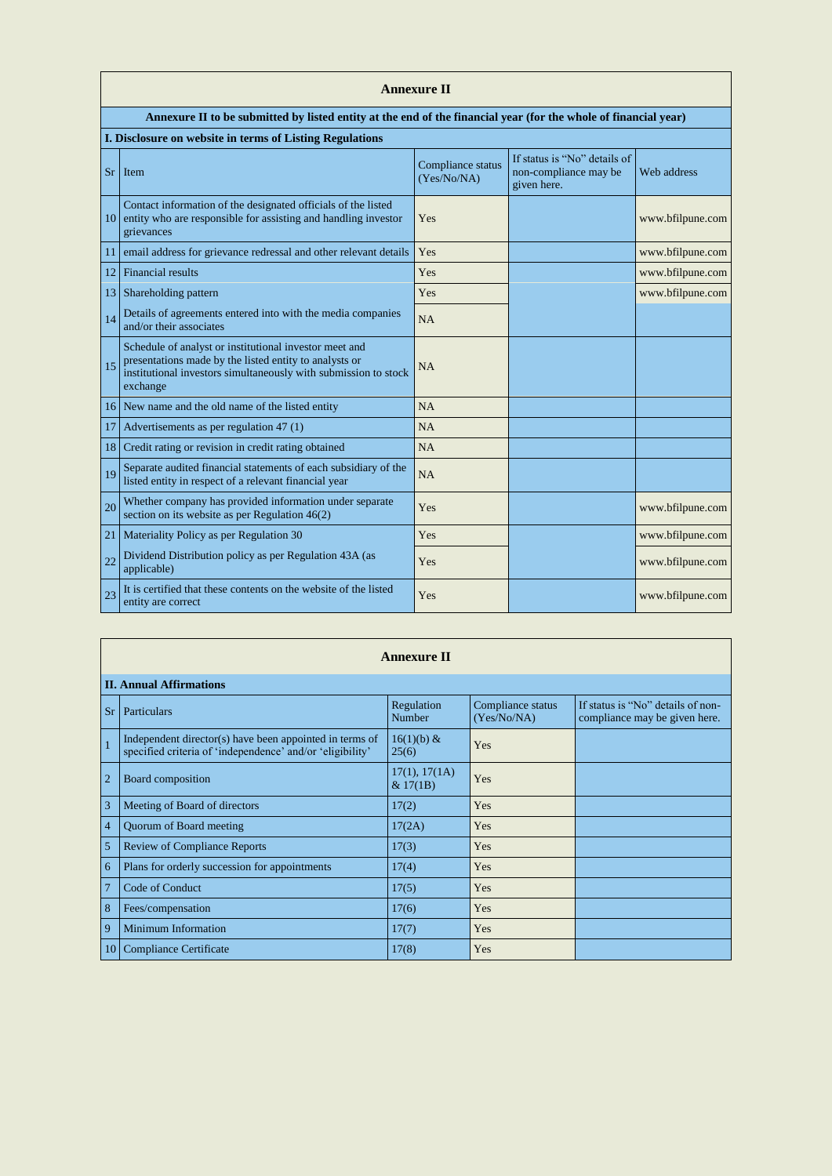|           | <b>Annexure II</b>                                                                                                                                                                              |                                  |                                                                      |                  |
|-----------|-------------------------------------------------------------------------------------------------------------------------------------------------------------------------------------------------|----------------------------------|----------------------------------------------------------------------|------------------|
|           | Annexure II to be submitted by listed entity at the end of the financial year (for the whole of financial year)                                                                                 |                                  |                                                                      |                  |
|           | I. Disclosure on website in terms of Listing Regulations                                                                                                                                        |                                  |                                                                      |                  |
| <b>Sr</b> | Item                                                                                                                                                                                            | Compliance status<br>(Yes/No/NA) | If status is "No" details of<br>non-compliance may be<br>given here. | Web address      |
| 10        | Contact information of the designated officials of the listed<br>entity who are responsible for assisting and handling investor<br>grievances                                                   | Yes                              |                                                                      | www.bfilpune.com |
| 11        | email address for grievance redressal and other relevant details                                                                                                                                | Yes                              |                                                                      | www.bfilpune.com |
| 12        | <b>Financial results</b>                                                                                                                                                                        | Yes                              |                                                                      | www.bfilpune.com |
| 13        | Shareholding pattern                                                                                                                                                                            | Yes                              |                                                                      | www.bfilpune.com |
| 14        | Details of agreements entered into with the media companies<br>and/or their associates                                                                                                          | <b>NA</b>                        |                                                                      |                  |
| 15        | Schedule of analyst or institutional investor meet and<br>presentations made by the listed entity to analysts or<br>institutional investors simultaneously with submission to stock<br>exchange | <b>NA</b>                        |                                                                      |                  |
| 16        | New name and the old name of the listed entity                                                                                                                                                  | <b>NA</b>                        |                                                                      |                  |
| 17        | Advertisements as per regulation 47 (1)                                                                                                                                                         | <b>NA</b>                        |                                                                      |                  |
| 18        | Credit rating or revision in credit rating obtained                                                                                                                                             | <b>NA</b>                        |                                                                      |                  |
| 19        | Separate audited financial statements of each subsidiary of the<br>listed entity in respect of a relevant financial year                                                                        | <b>NA</b>                        |                                                                      |                  |
| 20        | Whether company has provided information under separate<br>section on its website as per Regulation $46(2)$                                                                                     | Yes                              |                                                                      | www.bfilpune.com |
| 21        | Materiality Policy as per Regulation 30                                                                                                                                                         | Yes                              |                                                                      | www.bfilpune.com |
| 22        | Dividend Distribution policy as per Regulation 43A (as<br>applicable)                                                                                                                           | Yes                              |                                                                      | www.bfilpune.com |
| 23        | It is certified that these contents on the website of the listed<br>entity are correct                                                                                                          | Yes                              |                                                                      | www.bfilpune.com |

|                | <b>Annexure II</b>                                                                                                   |                           |                                  |                                                                    |  |  |
|----------------|----------------------------------------------------------------------------------------------------------------------|---------------------------|----------------------------------|--------------------------------------------------------------------|--|--|
|                | <b>II. Annual Affirmations</b>                                                                                       |                           |                                  |                                                                    |  |  |
| <b>Sr</b>      | Particulars                                                                                                          | Regulation<br>Number      | Compliance status<br>(Yes/No/NA) | If status is "No" details of non-<br>compliance may be given here. |  |  |
| $\vert$ 1      | Independent director(s) have been appointed in terms of<br>specified criteria of 'independence' and/or 'eligibility' | $16(1)(b) \&$<br>25(6)    | Yes                              |                                                                    |  |  |
| $\sqrt{2}$     | Board composition                                                                                                    | 17(1), 17(1A)<br>& 17(1B) | Yes                              |                                                                    |  |  |
| $\vert 3$      | Meeting of Board of directors                                                                                        | 17(2)                     | Yes                              |                                                                    |  |  |
| $\vert 4$      | Quorum of Board meeting                                                                                              | 17(2A)                    | Yes                              |                                                                    |  |  |
| 5              | <b>Review of Compliance Reports</b>                                                                                  | 17(3)                     | Yes                              |                                                                    |  |  |
| $\overline{6}$ | Plans for orderly succession for appointments                                                                        | 17(4)                     | Yes                              |                                                                    |  |  |
| 7              | <b>Code of Conduct</b>                                                                                               | 17(5)                     | Yes                              |                                                                    |  |  |
| 8              | Fees/compensation                                                                                                    | 17(6)                     | Yes                              |                                                                    |  |  |
| $\vert$ 9      | <b>Minimum Information</b>                                                                                           | 17(7)                     | Yes                              |                                                                    |  |  |
| $\mid$ 10      | <b>Compliance Certificate</b>                                                                                        | 17(8)                     | Yes                              |                                                                    |  |  |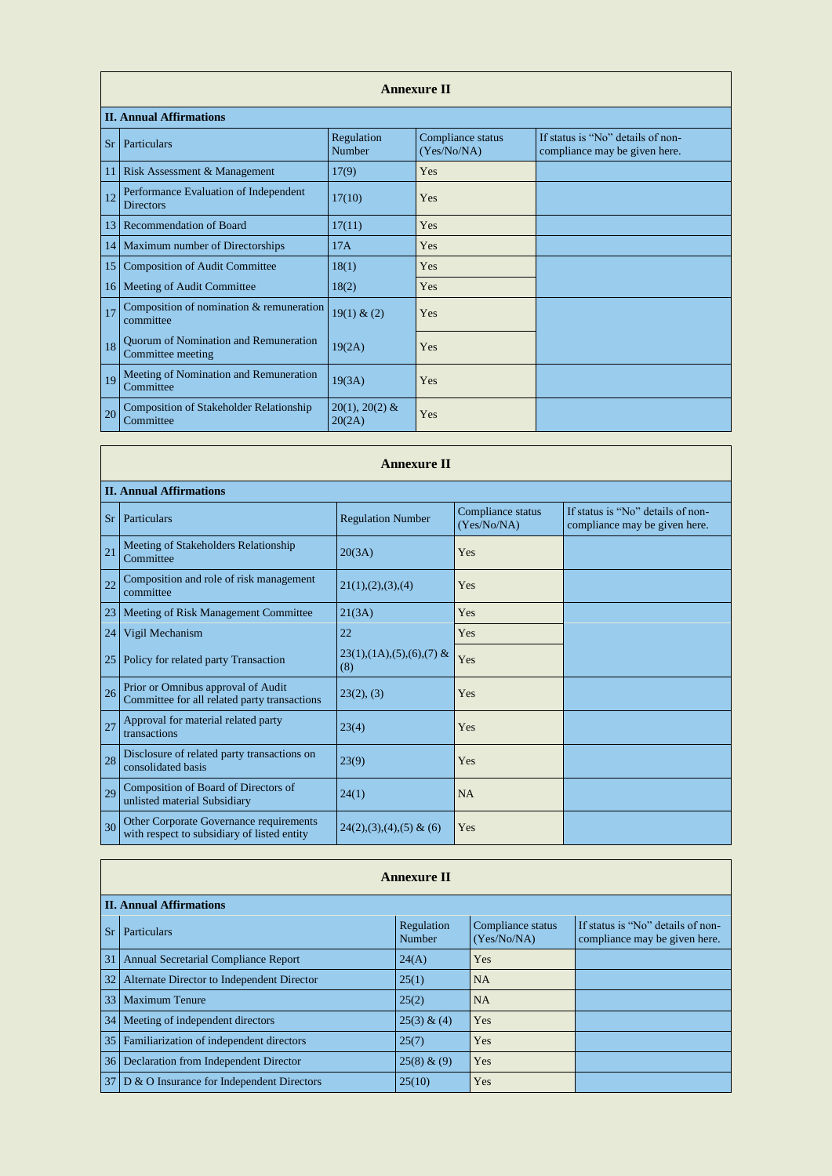|           | <b>Annexure II</b>                                          |                            |                                  |                                                                    |
|-----------|-------------------------------------------------------------|----------------------------|----------------------------------|--------------------------------------------------------------------|
|           | <b>II. Annual Affirmations</b>                              |                            |                                  |                                                                    |
| <b>Sr</b> | Particulars                                                 | Regulation<br>Number       | Compliance status<br>(Yes/No/NA) | If status is "No" details of non-<br>compliance may be given here. |
| 11        | Risk Assessment & Management                                | 17(9)                      | Yes                              |                                                                    |
| 12        | Performance Evaluation of Independent<br><b>Directors</b>   | 17(10)                     | Yes                              |                                                                    |
| 13        | <b>Recommendation of Board</b>                              | 17(11)                     | Yes                              |                                                                    |
| 14        | Maximum number of Directorships                             | 17A                        | Yes                              |                                                                    |
| 15        | <b>Composition of Audit Committee</b>                       | 18(1)                      | Yes                              |                                                                    |
| 16        | Meeting of Audit Committee                                  | 18(2)                      | Yes                              |                                                                    |
| 17        | Composition of nomination & remuneration<br>committee       | 19(1) & (2)                | Yes                              |                                                                    |
| 18        | Quorum of Nomination and Remuneration<br>Committee meeting  | 19(2A)                     | Yes                              |                                                                    |
| 19        | Meeting of Nomination and Remuneration<br>Committee         | 19(3A)                     | Yes                              |                                                                    |
| 20        | <b>Composition of Stakeholder Relationship</b><br>Committee | $20(1), 20(2)$ &<br>20(2A) | Yes                              |                                                                    |

|    | <b>Annexure II</b>                                                                     |                                   |                                  |                                                                    |
|----|----------------------------------------------------------------------------------------|-----------------------------------|----------------------------------|--------------------------------------------------------------------|
|    | <b>II. Annual Affirmations</b>                                                         |                                   |                                  |                                                                    |
| Sr | Particulars                                                                            | <b>Regulation Number</b>          | Compliance status<br>(Yes/No/NA) | If status is "No" details of non-<br>compliance may be given here. |
| 21 | Meeting of Stakeholders Relationship<br>Committee                                      | 20(3A)                            | Yes                              |                                                                    |
| 22 | Composition and role of risk management<br>committee                                   | 21(1), (2), (3), (4)              | Yes                              |                                                                    |
| 23 | Meeting of Risk Management Committee                                                   | 21(3A)                            | Yes                              |                                                                    |
| 24 | Vigil Mechanism                                                                        | 22                                | Yes                              |                                                                    |
| 25 | Policy for related party Transaction                                                   | $23(1),(1A),(5),(6),(7)$ &<br>(8) | Yes                              |                                                                    |
| 26 | Prior or Omnibus approval of Audit<br>Committee for all related party transactions     | 23(2), (3)                        | Yes                              |                                                                    |
| 27 | Approval for material related party<br>transactions                                    | 23(4)                             | Yes                              |                                                                    |
| 28 | Disclosure of related party transactions on<br>consolidated basis                      | 23(9)                             | Yes                              |                                                                    |
| 29 | Composition of Board of Directors of<br>unlisted material Subsidiary                   | 24(1)                             | <b>NA</b>                        |                                                                    |
| 30 | Other Corporate Governance requirements<br>with respect to subsidiary of listed entity | $24(2), (3), (4), (5)$ & (6)      | Yes                              |                                                                    |

## **Annexure II**

|                 | <b>II. Annual Affirmations</b>              |                      |                                  |                                                                    |  |  |
|-----------------|---------------------------------------------|----------------------|----------------------------------|--------------------------------------------------------------------|--|--|
| <b>Sr</b>       | Particulars                                 | Regulation<br>Number | Compliance status<br>(Yes/No/NA) | If status is "No" details of non-<br>compliance may be given here. |  |  |
| 31              | <b>Annual Secretarial Compliance Report</b> | 24(A)                | Yes                              |                                                                    |  |  |
| 32              | Alternate Director to Independent Director  | 25(1)                | <b>NA</b>                        |                                                                    |  |  |
| 33 <sup>1</sup> | <b>Maximum Tenure</b>                       | 25(2)                | <b>NA</b>                        |                                                                    |  |  |
| 34              | Meeting of independent directors            | 25(3) & (4)          | Yes                              |                                                                    |  |  |
| 35              | Familiarization of independent directors    | 25(7)                | Yes                              |                                                                    |  |  |
| 36              | Declaration from Independent Director       | 25(8) & (9)          | Yes                              |                                                                    |  |  |
| 37 <sup>1</sup> | D & O Insurance for Independent Directors   | 25(10)               | Yes                              |                                                                    |  |  |